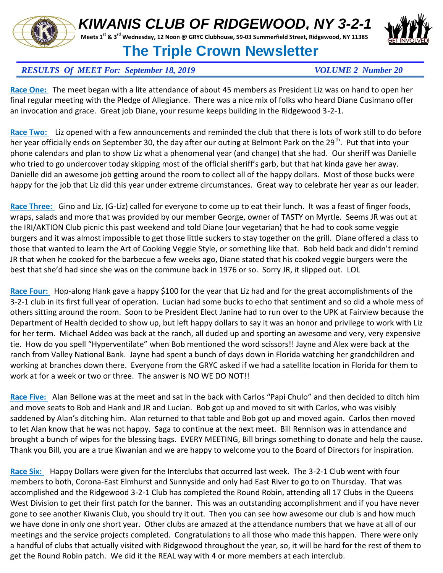# *KIWANIS CLUB OF RIDGEWOOD, NY 3-2-1*

**Meets 1st & 3rd Wednesday, 12 Noon @ GRYC Clubhouse, 59-03 Summerfield Street, Ridgewood, NY 11385** 

### **The Triple Crown Newsletter**

### *RESULTS Of MEET For: September 18, 2019 VOLUME 2 Number 20*

**Race One:** The meet began with a lite attendance of about 45 members as President Liz was on hand to open her final regular meeting with the Pledge of Allegiance. There was a nice mix of folks who heard Diane Cusimano offer an invocation and grace. Great job Diane, your resume keeps building in the Ridgewood 3-2-1.

**Race Two:** Liz opened with a few announcements and reminded the club that there is lots of work still to do before her year officially ends on September 30, the day after our outing at Belmont Park on the 29<sup>th</sup>. Put that into vour phone calendars and plan to show Liz what a phenomenal year (and change) that she had. Our sheriff was Danielle who tried to go undercover today skipping most of the official sheriff's garb, but that hat kinda gave her away. Danielle did an awesome job getting around the room to collect all of the happy dollars. Most of those bucks were happy for the job that Liz did this year under extreme circumstances. Great way to celebrate her year as our leader.

**Race Three:** Gino and Liz, (G-Liz) called for everyone to come up to eat their lunch. It was a feast of finger foods, wraps, salads and more that was provided by our member George, owner of TASTY on Myrtle. Seems JR was out at the IRI/AKTION Club picnic this past weekend and told Diane (our vegetarian) that he had to cook some veggie burgers and it was almost impossible to get those little suckers to stay together on the grill. Diane offered a class to those that wanted to learn the Art of Cooking Veggie Style, or something like that. Bob held back and didn't remind JR that when he cooked for the barbecue a few weeks ago, Diane stated that his cooked veggie burgers were the best that she'd had since she was on the commune back in 1976 or so. Sorry JR, it slipped out. LOL

**Race Four:** Hop-along Hank gave a happy \$100 for the year that Liz had and for the great accomplishments of the 3-2-1 club in its first full year of operation. Lucian had some bucks to echo that sentiment and so did a whole mess of others sitting around the room. Soon to be President Elect Janine had to run over to the UPK at Fairview because the Department of Health decided to show up, but left happy dollars to say it was an honor and privilege to work with Liz for her term. Michael Addeo was back at the ranch, all duded up and sporting an awesome and very, very expensive tie. How do you spell "Hyperventilate" when Bob mentioned the word scissors!! Jayne and Alex were back at the ranch from Valley National Bank. Jayne had spent a bunch of days down in Florida watching her grandchildren and working at branches down there. Everyone from the GRYC asked if we had a satellite location in Florida for them to work at for a week or two or three. The answer is NO WE DO NOT!!

**Race Five:** Alan Bellone was at the meet and sat in the back with Carlos "Papi Chulo" and then decided to ditch him and move seats to Bob and Hank and JR and Lucian. Bob got up and moved to sit with Carlos, who was visibly saddened by Alan's ditching him. Alan returned to that table and Bob got up and moved again. Carlos then moved to let Alan know that he was not happy. Saga to continue at the next meet. Bill Rennison was in attendance and brought a bunch of wipes for the blessing bags. EVERY MEETING, Bill brings something to donate and help the cause. Thank you Bill, you are a true Kiwanian and we are happy to welcome you to the Board of Directors for inspiration.

**Race Six:** Happy Dollars were given for the Interclubs that occurred last week. The 3-2-1 Club went with four members to both, Corona-East Elmhurst and Sunnyside and only had East River to go to on Thursday. That was accomplished and the Ridgewood 3-2-1 Club has completed the Round Robin, attending all 17 Clubs in the Queens West Division to get their first patch for the banner. This was an outstanding accomplishment and if you have never gone to see another Kiwanis Club, you should try it out. Then you can see how awesome our club is and how much we have done in only one short year. Other clubs are amazed at the attendance numbers that we have at all of our meetings and the service projects completed. Congratulations to all those who made this happen. There were only a handful of clubs that actually visited with Ridgewood throughout the year, so, it will be hard for the rest of them to get the Round Robin patch. We did it the REAL way with 4 or more members at each interclub.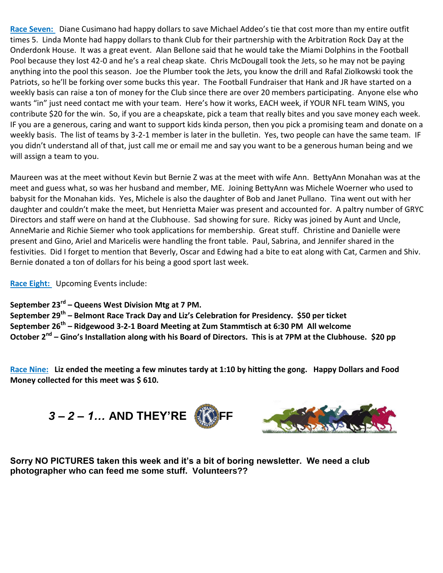**Race Seven:** Diane Cusimano had happy dollars to save Michael Addeo's tie that cost more than my entire outfit times 5. Linda Monte had happy dollars to thank Club for their partnership with the Arbitration Rock Day at the Onderdonk House. It was a great event. Alan Bellone said that he would take the Miami Dolphins in the Football Pool because they lost 42-0 and he's a real cheap skate. Chris McDougall took the Jets, so he may not be paying anything into the pool this season. Joe the Plumber took the Jets, you know the drill and Rafal Ziolkowski took the Patriots, so he'll be forking over some bucks this year. The Football Fundraiser that Hank and JR have started on a weekly basis can raise a ton of money for the Club since there are over 20 members participating. Anyone else who wants "in" just need contact me with your team. Here's how it works, EACH week, if YOUR NFL team WINS, you contribute \$20 for the win. So, if you are a cheapskate, pick a team that really bites and you save money each week. IF you are a generous, caring and want to support kids kinda person, then you pick a promising team and donate on a weekly basis. The list of teams by 3-2-1 member is later in the bulletin. Yes, two people can have the same team. IF you didn't understand all of that, just call me or email me and say you want to be a generous human being and we will assign a team to you.

Maureen was at the meet without Kevin but Bernie Z was at the meet with wife Ann. BettyAnn Monahan was at the meet and guess what, so was her husband and member, ME. Joining BettyAnn was Michele Woerner who used to babysit for the Monahan kids. Yes, Michele is also the daughter of Bob and Janet Pullano. Tina went out with her daughter and couldn't make the meet, but Henrietta Maier was present and accounted for. A paltry number of GRYC Directors and staff were on hand at the Clubhouse. Sad showing for sure. Ricky was joined by Aunt and Uncle, AnneMarie and Richie Siemer who took applications for membership. Great stuff. Christine and Danielle were present and Gino, Ariel and Maricelis were handling the front table. Paul, Sabrina, and Jennifer shared in the festivities. Did I forget to mention that Beverly, Oscar and Edwing had a bite to eat along with Cat, Carmen and Shiv. Bernie donated a ton of dollars for his being a good sport last week.

**Race Eight:** Upcoming Events include:

**September 23rd – Queens West Division Mtg at 7 PM.**

**September 29th – Belmont Race Track Day and Liz's Celebration for Presidency. \$50 per ticket September 26th – Ridgewood 3-2-1 Board Meeting at Zum Stammtisch at 6:30 PM All welcome October 2nd – Gino's Installation along with his Board of Directors. This is at 7PM at the Clubhouse. \$20 pp**

**Race Nine: Liz ended the meeting a few minutes tardy at 1:10 by hitting the gong. Happy Dollars and Food Money collected for this meet was \$ 610.**

**3** – 2 – 1... AND THEY'RE



**Sorry NO PICTURES taken this week and it's a bit of boring newsletter. We need a club photographer who can feed me some stuff. Volunteers??**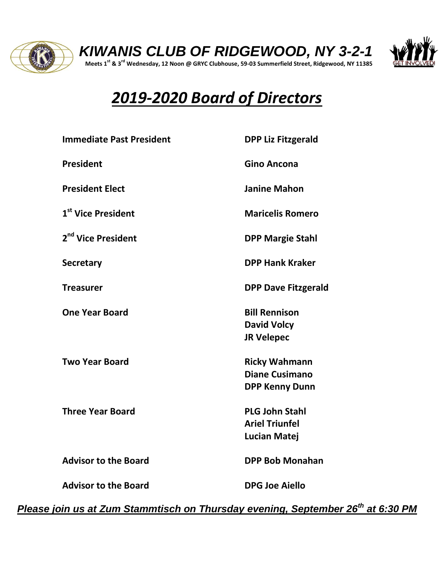



# *2019-2020 Board of Directors*

| <b>Immediate Past President</b> | <b>DPP Liz Fitzgerald</b>                                              |  |
|---------------------------------|------------------------------------------------------------------------|--|
| <b>President</b>                | <b>Gino Ancona</b>                                                     |  |
| <b>President Elect</b>          | <b>Janine Mahon</b>                                                    |  |
| 1 <sup>st</sup> Vice President  | <b>Maricelis Romero</b>                                                |  |
| 2 <sup>nd</sup> Vice President  | <b>DPP Margie Stahl</b>                                                |  |
| <b>Secretary</b>                | <b>DPP Hank Kraker</b>                                                 |  |
| <b>Treasurer</b>                | <b>DPP Dave Fitzgerald</b>                                             |  |
| <b>One Year Board</b>           | <b>Bill Rennison</b><br><b>David Volcy</b><br><b>JR Velepec</b>        |  |
| <b>Two Year Board</b>           | <b>Ricky Wahmann</b><br><b>Diane Cusimano</b><br><b>DPP Kenny Dunn</b> |  |
| <b>Three Year Board</b>         | <b>PLG John Stahl</b><br><b>Ariel Triunfel</b><br><b>Lucian Matej</b>  |  |
| <b>Advisor to the Board</b>     | <b>DPP Bob Monahan</b>                                                 |  |
| <b>Advisor to the Board</b>     | <b>DPG Joe Aiello</b>                                                  |  |

*Please join us at Zum Stammtisch on Thursday evening, September 26th at 6:30 PM*